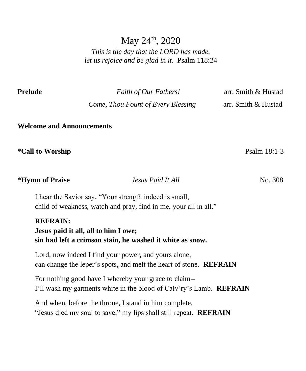# May  $24^{\text{th}}$ , 2020

*This is the day that the LORD has made, let us rejoice and be glad in it.* Psalm 118:24

**Prelude** *Faith of Our Fathers!* arr. Smith & Hustad

 *Come, Thou Fount of Every Blessing* arr. Smith & Hustad

**Welcome and Announcements**

**\*Call to Worship** Psalm 18:1-3

**\*Hymn of Praise** *Jesus Paid It All* No. 308 I hear the Savior say, "Your strength indeed is small, child of weakness, watch and pray, find in me, your all in all." **REFRAIN: Jesus paid it all, all to him I owe; sin had left a crimson stain, he washed it white as snow.**

Lord, now indeed I find your power, and yours alone, can change the leper's spots, and melt the heart of stone. **REFRAIN**

For nothing good have I whereby your grace to claim-- I'll wash my garments white in the blood of Calv'ry's Lamb. **REFRAIN**

And when, before the throne, I stand in him complete, "Jesus died my soul to save," my lips shall still repeat. **REFRAIN**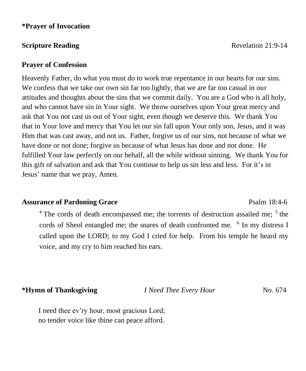#### **\*Prayer of Invocation**

#### **Prayer of Confession**

Heavenly Father, do what you must do to work true repentance in our hearts for our sins. We confess that we take our own sin far too lightly, that we are far too casual in our attitudes and thoughts about the sins that we commit daily. You are a God who is all holy, and who cannot have sin in Your sight. We throw ourselves upon Your great mercy and ask that You not cast us out of Your sight, even though we deserve this. We thank You that in Your love and mercy that You let our sin fall upon Your only son, Jesus, and it was Him that was cast away, and not us. Father, forgive us of our sins, not because of what we have done or not done; forgive us because of what Jesus has done and not done. He fulfilled Your law perfectly on our behalf, all the while without sinning. We thank You for this gift of salvation and ask that You continue to help us sin less and less. For it's in Jesus' name that we pray, Amen.

#### **Assurance of Pardoning Grace** Psalm 18:4-6

 $4$  The cords of death encompassed me; the torrents of destruction assailed me;  $5$  the cords of Sheol entangled me; the snares of death confronted me. <sup>6</sup> In my distress I called upon the LORD; to my God I cried for help. From his temple he heard my voice, and my cry to him reached his ears.

**\*Hymn of Thanksgiving** *I Need Thee Every Hour* No. 674

I need thee ev'ry hour, most gracious Lord; no tender voice like thine can peace afford.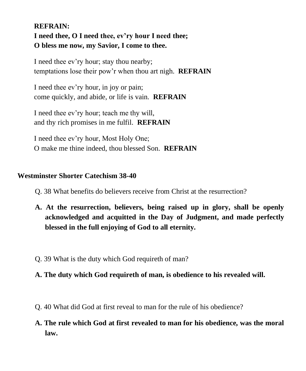## **REFRAIN: I need thee, O I need thee, ev'ry hour I need thee; O bless me now, my Savior, I come to thee.**

I need thee ev'ry hour; stay thou nearby; temptations lose their pow'r when thou art nigh. **REFRAIN**

I need thee ev'ry hour, in joy or pain; come quickly, and abide, or life is vain. **REFRAIN**

I need thee ev'ry hour; teach me thy will, and thy rich promises in me fulfil. **REFRAIN**

I need thee ev'ry hour, Most Holy One; O make me thine indeed, thou blessed Son. **REFRAIN**

### **Westminster Shorter Catechism 38-40**

- Q. 38 What benefits do believers receive from Christ at the resurrection?
- **A. At the resurrection, believers, being raised up in glory, shall be openly acknowledged and acquitted in the Day of Judgment, and made perfectly blessed in the full enjoying of God to all eternity.**
- Q. 39 What is the duty which God requireth of man?

### **A. The duty which God requireth of man, is obedience to his revealed will.**

- Q. 40 What did God at first reveal to man for the rule of his obedience?
- **A. The rule which God at first revealed to man for his obedience, was the moral law.**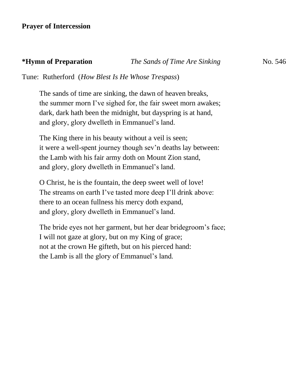#### **\*Hymn of Preparation** *The Sands of Time Are Sinking* No. 546

Tune: Rutherford (*How Blest Is He Whose Trespass*)

The sands of time are sinking, the dawn of heaven breaks, the summer morn I've sighed for, the fair sweet morn awakes; dark, dark hath been the midnight, but dayspring is at hand, and glory, glory dwelleth in Emmanuel's land.

The King there in his beauty without a veil is seen; it were a well-spent journey though sev'n deaths lay between: the Lamb with his fair army doth on Mount Zion stand, and glory, glory dwelleth in Emmanuel's land.

O Christ, he is the fountain, the deep sweet well of love! The streams on earth I've tasted more deep I'll drink above: there to an ocean fullness his mercy doth expand, and glory, glory dwelleth in Emmanuel's land.

The bride eyes not her garment, but her dear bridegroom's face; I will not gaze at glory, but on my King of grace; not at the crown He gifteth, but on his pierced hand: the Lamb is all the glory of Emmanuel's land.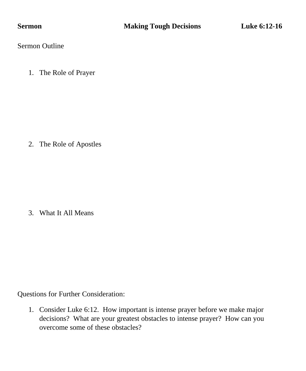Sermon Outline

1. The Role of Prayer

2. The Role of Apostles

3. What It All Means

Questions for Further Consideration:

1. Consider Luke 6:12. How important is intense prayer before we make major decisions? What are your greatest obstacles to intense prayer? How can you overcome some of these obstacles?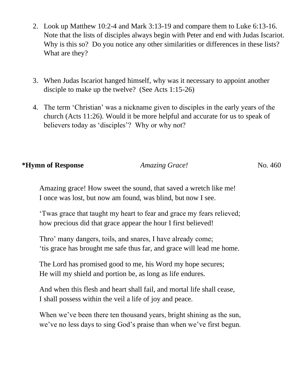- 2. Look up Matthew 10:2-4 and Mark 3:13-19 and compare them to Luke 6:13-16. Note that the lists of disciples always begin with Peter and end with Judas Iscariot. Why is this so? Do you notice any other similarities or differences in these lists? What are they?
- 3. When Judas Iscariot hanged himself, why was it necessary to appoint another disciple to make up the twelve? (See Acts 1:15-26)
- 4. The term 'Christian' was a nickname given to disciples in the early years of the church (Acts 11:26). Would it be more helpful and accurate for us to speak of believers today as 'disciples'? Why or why not?

#### **\*Hymn of Response** *Amazing Grace!* No. 460

Amazing grace! How sweet the sound, that saved a wretch like me! I once was lost, but now am found, was blind, but now I see.

'Twas grace that taught my heart to fear and grace my fears relieved; how precious did that grace appear the hour I first believed!

Thro' many dangers, toils, and snares, I have already come; 'tis grace has brought me safe thus far, and grace will lead me home.

The Lord has promised good to me, his Word my hope secures; He will my shield and portion be, as long as life endures.

And when this flesh and heart shall fail, and mortal life shall cease, I shall possess within the veil a life of joy and peace.

When we've been there ten thousand years, bright shining as the sun, we've no less days to sing God's praise than when we've first begun.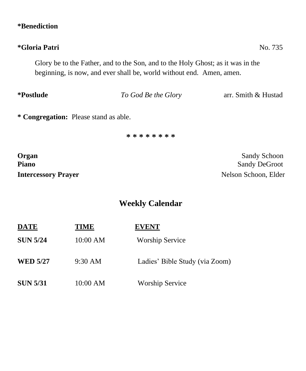### **\*Benediction**

# **\*Gloria Patri** No. 735

Glory be to the Father, and to the Son, and to the Holy Ghost; as it was in the beginning, is now, and ever shall be, world without end. Amen, amen.

**\*Postlude** *To God Be the Glory* arr. Smith & Hustad

**\* Congregation:** Please stand as able.

**\* \* \* \* \* \* \* \***

**Organ** Sandy Schoon **Piano** Sandy DeGroot

**Intercessory Prayer** Nelson Schoon, Elder

# **Weekly Calendar**

| <b>DATE</b>     | TIME              | <b>EVENT</b><br><b>Worship Service</b><br>Ladies' Bible Study (via Zoom) |  |
|-----------------|-------------------|--------------------------------------------------------------------------|--|
| <b>SUN 5/24</b> | 10:00 AM          |                                                                          |  |
| <b>WED 5/27</b> | $9:30 \text{ AM}$ |                                                                          |  |
| <b>SUN 5/31</b> | 10:00 AM          | <b>Worship Service</b>                                                   |  |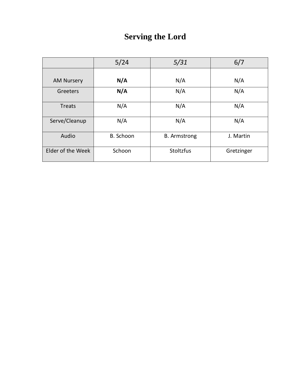# **Serving the Lord**

|                   | 5/24      | 5/31                | 6/7        |
|-------------------|-----------|---------------------|------------|
| <b>AM Nursery</b> | N/A       | N/A                 | N/A        |
| Greeters          | N/A       | N/A                 | N/A        |
| <b>Treats</b>     | N/A       | N/A                 | N/A        |
| Serve/Cleanup     | N/A       | N/A                 | N/A        |
| Audio             | B. Schoon | <b>B.</b> Armstrong | J. Martin  |
| Elder of the Week | Schoon    | <b>Stoltzfus</b>    | Gretzinger |